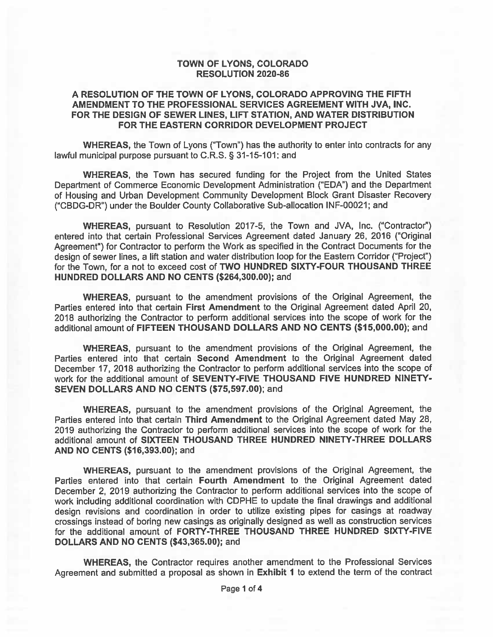#### **TOWN OF LYONS, COLORADO RESOLUTION 2020-86**

#### A RESOLUTION OF THE TOWN OF LYONS, COLORADO APPROVING THE FIFTH AMENDMENT TO THE PROFESSIONAL SERVICES AGREEMENT WITH JVA. INC. FOR THE DESIGN OF SEWER LINES, LIFT STATION, AND WATER DISTRIBUTION FOR THE EASTERN CORRIDOR DEVELOPMENT PROJECT

WHEREAS, the Town of Lyons ("Town") has the authority to enter into contracts for any lawful municipal purpose pursuant to C.R.S. § 31-15-101; and

WHEREAS, the Town has secured funding for the Project from the United States Department of Commerce Economic Development Administration ("EDA") and the Department of Housing and Urban Development Community Development Block Grant Disaster Recovery ("CBDG-DR") under the Boulder County Collaborative Sub-allocation INF-00021; and

WHEREAS, pursuant to Resolution 2017-5, the Town and JVA, Inc. ("Contractor") entered into that certain Professional Services Agreement dated January 26, 2016 ("Original Agreement") for Contractor to perform the Work as specified in the Contract Documents for the design of sewer lines, a lift station and water distribution loop for the Eastern Corridor ("Project") for the Town, for a not to exceed cost of TWO HUNDRED SIXTY-FOUR THOUSAND THREE HUNDRED DOLLARS AND NO CENTS (\$264,300.00); and

WHEREAS, pursuant to the amendment provisions of the Original Agreement, the Parties entered into that certain First Amendment to the Original Agreement dated April 20, 2018 authorizing the Contractor to perform additional services into the scope of work for the additional amount of FIFTEEN THOUSAND DOLLARS AND NO CENTS (\$15,000.00); and

WHEREAS, pursuant to the amendment provisions of the Original Agreement, the Parties entered into that certain Second Amendment to the Original Agreement dated December 17, 2018 authorizing the Contractor to perform additional services into the scope of work for the additional amount of SEVENTY-FIVE THOUSAND FIVE HUNDRED NINETY-SEVEN DOLLARS AND NO CENTS (\$75,597.00); and

WHEREAS, pursuant to the amendment provisions of the Original Agreement, the Parties entered into that certain Third Amendment to the Original Agreement dated May 28, 2019 authorizing the Contractor to perform additional services into the scope of work for the additional amount of SIXTEEN THOUSAND THREE HUNDRED NINETY-THREE DOLLARS AND NO CENTS (\$16,393.00); and

**WHEREAS, pursuant to the amendment provisions of the Original Agreement, the** Parties entered into that certain Fourth Amendment to the Original Agreement dated December 2, 2019 authorizing the Contractor to perform additional services into the scope of work including additional coordination with CDPHE to update the final drawings and additional design revisions and coordination in order to utilize existing pipes for casings at roadway crossings instead of boring new casings as originally designed as well as construction services for the additional amount of FORTY-THREE THOUSAND THREE HUNDRED SIXTY-FIVE DOLLARS AND NO CENTS (\$43,365.00); and

WHEREAS, the Contractor requires another amendment to the Professional Services Agreement and submitted a proposal as shown in Exhibit 1 to extend the term of the contract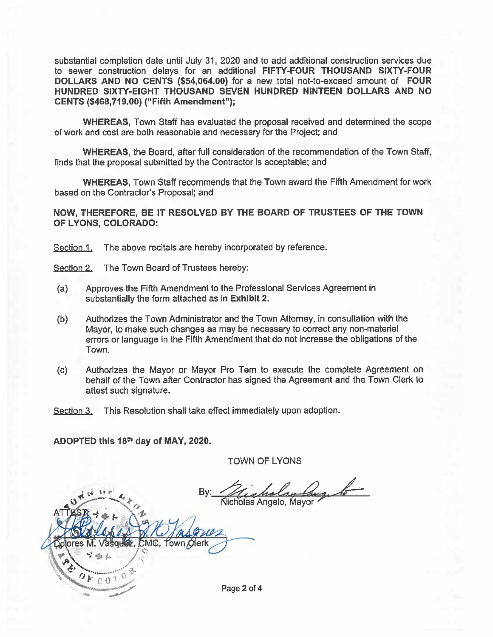substantial completion date until July 31, 2020 and to add additional construction services due to sewer construction delays for an additional FIFTY-FOUR THOUSAND SIXTY-FOUR DOLLARS AND NO CENTS (\$54,064.00) for a new total not-to-exceed amount of FOUR HUNDRED SIXTY-EIGHT THOUSAND SEVEN HUNDRED NINTEEN DOLLARS AND NO CENTS (\$468,719.00) ("Fifth Amendment");

WHEREAS, Town Staff has evaluated the proposal received and determined the scope of work and cost are both reasonable and necessary for the Project; and

WHEREAS, the Board, after full consideration of the recommendation of the Town Staff. finds that the proposal submitted by the Contractor is acceptable; and

**WHEREAS, Town Staff recommends that the Town award the Fifth Amendment for work** based on the Contractor's Proposal: and

NOW, THEREFORE, BE IT RESOLVED BY THE BOARD OF TRUSTEES OF THE TOWN OF LYONS, COLORADO:

Section 1. The above recitals are hereby incorporated by reference.

Section 2. The Town Board of Trustees hereby:

- Approves the Fifth Amendment to the Professional Services Agreement in  $(a)$ substantially the form attached as in Exhibit 2.
- Authorizes the Town Administrator and the Town Attorney, in consultation with the  $(b)$ Mayor, to make such changes as may be necessary to correct any non-material errors or language in the Fifth Amendment that do not increase the obligations of the Town.
- Authorizes the Mayor or Mayor Pro Tem to execute the complete Agreement on  $(c)$ behalf of the Town after Contractor has signed the Agreement and the Town Clerk to attest such signature.

Section 3. This Resolution shall take effect immediately upon adoption.

ADOPTED this 18th day of MAY, 2020.

**TOWN OF LYONS** 

an lang lo

ores M  $T<sub>OMD</sub>$  $C<sub>0</sub>$ Page 2 of 4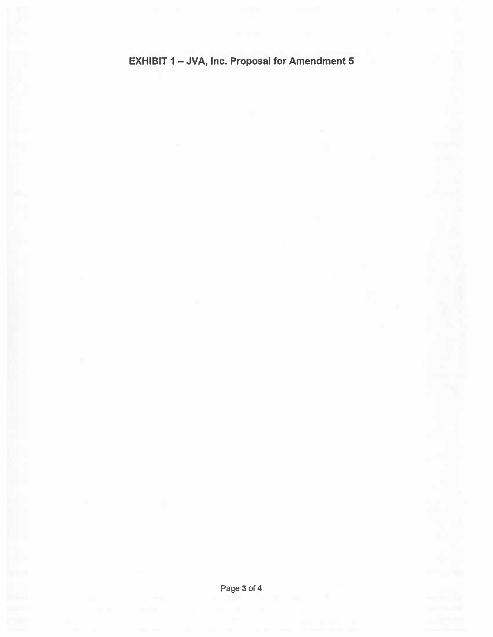# **EXHIBIT 1- JVA, Inc. Proposal for Amendment 5**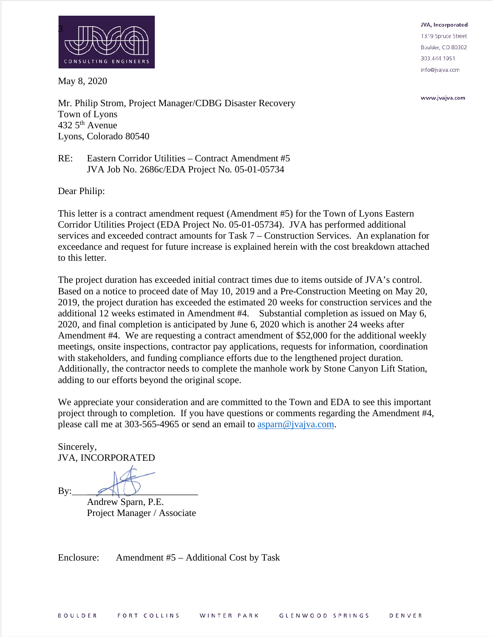

May 8, 2020

JVA, Incorporated 1319 Spruce Street Boulder, CO 80302 303.444.1951 info@jvajva.com

www.jvajva.com

Mr. Philip Strom, Project Manager/CDBG Disaster Recovery Town of Lyons  $432.5$ <sup>th</sup> Avenue Lyons, Colorado 80540

#### RE: Eastern Corridor Utilities – Contract Amendment #5 JVA Job No. 2686c/EDA Project No. 05-01-05734

Dear Philip:

This letter is a contract amendment request (Amendment #5) for the Town of Lyons Eastern Corridor Utilities Project (EDA Project No. 05-01-05734). JVA has performed additional services and exceeded contract amounts for Task 7 – Construction Services. An explanation for exceedance and request for future increase is explained herein with the cost breakdown attached to this letter.

The project duration has exceeded initial contract times due to items outside of JVA's control. Based on a notice to proceed date of May 10, 2019 and a Pre-Construction Meeting on May 20, 2019, the project duration has exceeded the estimated 20 weeks for construction services and the additional 12 weeks estimated in Amendment #4. Substantial completion as issued on May 6, 2020, and final completion is anticipated by June 6, 2020 which is another 24 weeks after Amendment #4. We are requesting a contract amendment of \$52,000 for the additional weekly meetings, onsite inspections, contractor pay applications, requests for information, coordination with stakeholders, and funding compliance efforts due to the lengthened project duration. Additionally, the contractor needs to complete the manhole work by Stone Canyon Lift Station, adding to our efforts beyond the original scope.

We appreciate your consideration and are committed to the Town and EDA to see this important project through to completion. If you have questions or comments regarding the Amendment #4, please call me at 303-565-4965 or send an email to [asparn@jvajva.com.](mailto:asparn@jvajva.com)

Sincerely, JVA, INCORPORATED

 $By:$ 

Andrew Sparn, P.E. Project Manager / Associate

Enclosure: Amendment #5 – Additional Cost by Task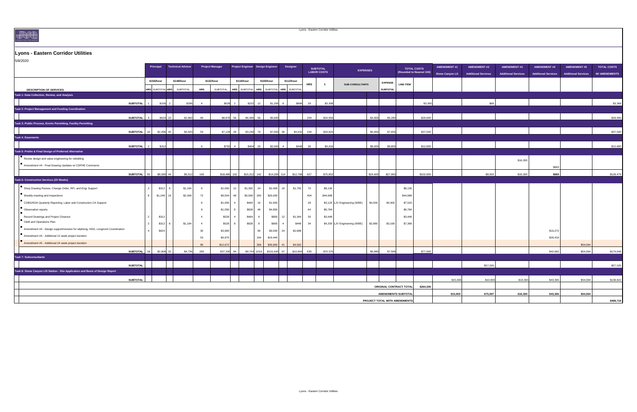# CONSULTING ENGINEERS

# **Lyons - Eastern Corridor Utilities**

| 5/8/2020                                                                          |                             |                         |                          |                 |                        |                                            |               |                            |                 |            |                                       |                               |          |                 |                                      |                                                |                                               |                                                   |                                                  |                                                   |                                                   |                                            |
|-----------------------------------------------------------------------------------|-----------------------------|-------------------------|--------------------------|-----------------|------------------------|--------------------------------------------|---------------|----------------------------|-----------------|------------|---------------------------------------|-------------------------------|----------|-----------------|--------------------------------------|------------------------------------------------|-----------------------------------------------|---------------------------------------------------|--------------------------------------------------|---------------------------------------------------|---------------------------------------------------|--------------------------------------------|
|                                                                                   |                             | <b>Principal</b>        | <b>Technical Advisor</b> |                 | <b>Project Manager</b> | Project Engineer Design Engineer           |               |                            | <b>Designer</b> |            | <b>SUBTOTAL</b><br><b>LABOR COSTS</b> | <b>EXPENSES</b>               |          |                 |                                      | <b>TOTAL COSTS</b><br>(Rounded to Nearest 100) | <b>AMENDMENT #1</b><br><b>Stone Canyon LS</b> | <b>AMENDMENT #2</b><br><b>Additional Services</b> | <b>AMENDMENT#3</b><br><b>Additional Services</b> | <b>AMENDMENT #4</b><br><b>Additional Services</b> | <b>AMENDMENT #5</b><br><b>Additional Services</b> | <b>TOTAL COSTS</b><br><b>W/ AMENDMENTS</b> |
|                                                                                   |                             | \$156/hour              | \$148/hour               |                 | \$132/hour             | \$116/hour                                 | \$100/hour    |                            | \$112/hour      |            |                                       |                               |          | <b>EXPENSE</b>  |                                      |                                                |                                               |                                                   |                                                  |                                                   |                                                   |                                            |
| <b>DESCRIPTION OF SERVICES</b>                                                    |                             | <b>HRS SUBTOTAL HRS</b> | <b>SUBTOTAL</b>          | <b>HRS</b>      | SUBTOTAL               | HRS SUBTOTAL   HRS SUBTOTAL   HRS SUBTOTAL |               |                            |                 | <b>HRS</b> | $\mathfrak{P}$                        | <b>SUB-CONSULTANTS</b>        |          | <b>SUBTOTAL</b> | <b>LINE ITEM</b>                     |                                                |                                               |                                                   |                                                  |                                                   |                                                   |                                            |
| Task 1: Data Collection, Review, and Analysis                                     |                             |                         |                          |                 |                        |                                            |               |                            |                 |            |                                       |                               |          |                 |                                      |                                                |                                               |                                                   |                                                  |                                                   |                                                   |                                            |
|                                                                                   | <b>SUBTOTAL</b>             | $$156$ 2                |                          | \$296           | \$528                  | \$232                                      | 12            | \$1,200                    | \$896           | 29         | \$3,30                                |                               |          |                 |                                      | \$3,300                                        |                                               |                                                   |                                                  |                                                   |                                                   | \$3,368                                    |
| <b>Task 2: Project Management and Funding Coordination</b>                        |                             |                         |                          |                 |                        |                                            |               |                            |                 |            |                                       |                               |          |                 |                                      |                                                |                                               |                                                   |                                                  |                                                   |                                                   |                                            |
|                                                                                   | <b>SUBTOTAL</b>             | $$624$ 20               | \$2,960                  | 68              | \$8,976                | \$6.496<br>56                              | -56           | \$5.600                    |                 | 204        | \$24,65                               |                               | \$4,800  | \$5,280         |                                      | \$29,900                                       |                                               |                                                   |                                                  |                                                   |                                                   | \$29,900                                   |
| Task 3: Public Process, Enviro Permitting, Facility Permitting                    |                             |                         |                          |                 |                        |                                            |               |                            |                 |            |                                       |                               |          |                 |                                      |                                                |                                               |                                                   |                                                  |                                                   |                                                   |                                            |
|                                                                                   | SUBTOTAL 16                 | $$2,496$ 40             | \$5,920                  | 54              |                        | \$3,248<br>$$7,128$ 28                     | 70            | $$7,000$ 36                | \$4,032         | 244        | \$29,82                               |                               | \$6,960  | \$7,656         |                                      | \$37,500                                       |                                               |                                                   |                                                  |                                                   |                                                   | \$37,500                                   |
| <b>Task 4: Easements</b>                                                          |                             |                         |                          |                 |                        |                                            |               |                            |                 |            |                                       |                               |          |                 |                                      |                                                |                                               |                                                   |                                                  |                                                   |                                                   |                                            |
|                                                                                   | <b>SUBTOTAL</b>             | \$312                   |                          |                 | \$792                  |                                            | 20            | \$2,000                    | \$448           | 36         | \$4.0'                                |                               | \$8,000  | \$8,800         |                                      | \$12,800                                       |                                               |                                                   |                                                  |                                                   |                                                   | \$12,800                                   |
| Task 5: Prelim & Final Design of Preferred Alternative                            |                             |                         |                          |                 |                        |                                            |               |                            |                 |            |                                       |                               |          |                 |                                      |                                                |                                               |                                                   |                                                  |                                                   |                                                   |                                            |
| $\mathbf{R}$ Revise design and value engineering for rebidding                    |                             |                         |                          |                 |                        |                                            |               |                            |                 |            |                                       |                               |          |                 |                                      |                                                |                                               |                                                   |                                                  |                                                   |                                                   |                                            |
| Amendment #4 - Final Drawing Updates w/ CDPHE Comments                            |                             |                         |                          |                 |                        |                                            |               |                            |                 |            |                                       |                               |          |                 |                                      |                                                |                                               |                                                   | \$16,393                                         |                                                   |                                                   |                                            |
|                                                                                   |                             |                         |                          |                 |                        |                                            |               |                            |                 |            |                                       |                               |          |                 |                                      |                                                |                                               |                                                   |                                                  | \$683                                             |                                                   |                                            |
| Task 6: Construction Services (20 Weeks)                                          | SUBTOTAL $\Big $ 55 $\Big $ | $$8,580$ 44             | \$6,512                  | 140             |                        | $$18,480$ 132                              | $$15,312$ 142 | $$14,200$ 114              | \$12,768        | 627        | \$75,852                              |                               | \$24,600 | \$27,060        |                                      | \$102,900                                      |                                               | \$8,503                                           | \$16,393                                         | \$683                                             |                                                   | \$128,479                                  |
|                                                                                   |                             |                         |                          |                 |                        |                                            |               |                            |                 |            |                                       |                               |          |                 |                                      |                                                |                                               |                                                   |                                                  |                                                   |                                                   |                                            |
| Shop Drawing Review, Change Order, RFI, and Engr Support                          |                             | $$312$ 8                | \$1,184                  |                 |                        | $$1,056$ 12                                | $$1,392$ 24   | $$2,400$ 16                | \$1,792         | 70         | \$8,136                               |                               |          |                 | \$8,136                              |                                                |                                               |                                                   |                                                  |                                                   |                                                   |                                            |
| Weekly meeting and inspections                                                    |                             | $$1,248$ 16             | \$2,368                  | 72              |                        | $$9,504$ 48                                | $$5,568$ 260  | \$26,000                   |                 | 404        | \$44,688                              |                               |          |                 | \$44,688                             |                                                |                                               |                                                   |                                                  |                                                   |                                                   |                                            |
| CDBG/EDA Quarterly Reporting, Labor and Construction CA Support                   |                             |                         |                          |                 | $$1,056$ 4             | \$464                                      | 16            | \$1,600                    |                 | 28         |                                       | \$3,120 LJV Engineering (WBE) | \$4,000  | \$4,400         | \$7,520                              |                                                |                                               |                                                   |                                                  |                                                   |                                                   |                                            |
| Observation reports                                                               |                             |                         |                          |                 | $$1,056$ 8             | \$928                                      | - 48          | \$4,800                    |                 | 64         | \$6,784                               |                               |          |                 | \$6,784                              |                                                |                                               |                                                   |                                                  |                                                   |                                                   |                                            |
| <b>Record Drawings and Project Closeout</b><br>O&M and Operations Plan            |                             | \$312                   |                          |                 | \$528                  | \$464                                      |               | $$800$ 12                  | \$1,344         | 30         | \$3,448                               |                               |          |                 | \$3,448                              |                                                |                                               |                                                   |                                                  |                                                   |                                                   |                                            |
| Amendment #4 - Design support/revision for sliplining, HDD, Longmont Coordination |                             | \$312                   | \$1,184                  |                 | \$528                  | \$928                                      |               | \$800<br>$\frac{4}{1}$     | \$448           | 34         |                                       | \$4,200 LJV Engineering (WBE) | \$2,880  | \$3,168         | \$7,368                              |                                                |                                               |                                                   |                                                  |                                                   |                                                   |                                            |
| Amendment #4 - Additional 12 week project duration                                |                             | \$624                   |                          | 30              | \$3,960                |                                            | 90            | $$9,000$ 24                | \$2,688         |            |                                       |                               |          |                 |                                      |                                                |                                               |                                                   |                                                  | \$16,272                                          |                                                   |                                            |
| Amendment #5 - Additional 24 week project duration                                |                             |                         |                          | 53 <sup>°</sup> | \$6,970                |                                            | 194           | \$19,440                   |                 |            |                                       |                               |          |                 |                                      |                                                |                                               |                                                   |                                                  | \$26,410                                          |                                                   |                                            |
|                                                                                   |                             |                         |                          | 96              | \$12,672               |                                            | 368           | $$36,800$ 41               | \$4,592         |            |                                       |                               |          |                 |                                      |                                                |                                               |                                                   |                                                  |                                                   | \$54,064                                          |                                            |
| Task 7: Subconsultants                                                            | SUBTOTAL $\vert$ 18 $\vert$ | $$2,808$ 32             | \$4,736                  | 283             |                        | $$37,330$ 84                               |               | $$9,744$ 1016 \$101,640 97 | \$10,864        | 630        | \$70,37                               |                               | \$6,880  | \$7,568         |                                      | \$77,900                                       |                                               |                                                   |                                                  | \$42,682                                          | \$54,064                                          | \$174,646                                  |
|                                                                                   |                             |                         |                          |                 |                        |                                            |               |                            |                 |            |                                       |                               |          |                 |                                      |                                                |                                               |                                                   |                                                  |                                                   |                                                   |                                            |
| Task 8: Stone Canyon Lift Station - Site Application and Basis of Design Report   | <b>SUBTOTAL</b>             |                         |                          |                 |                        |                                            |               |                            |                 |            |                                       |                               |          |                 |                                      |                                                |                                               | \$57,026                                          |                                                  |                                                   |                                                   | \$57,026                                   |
|                                                                                   |                             |                         |                          |                 |                        |                                            |               |                            |                 |            |                                       |                               |          |                 |                                      |                                                |                                               |                                                   |                                                  |                                                   |                                                   |                                            |
|                                                                                   | <b>SUBTOTAL</b>             |                         |                          |                 |                        |                                            |               |                            |                 |            |                                       |                               |          |                 |                                      |                                                | \$15,000                                      | \$10,000                                          | \$16,393                                         | \$43,365                                          | \$54,064                                          | \$138,822                                  |
|                                                                                   |                             |                         |                          |                 |                        |                                            |               |                            |                 |            |                                       |                               |          |                 | <b>ORIGINAL CONTRACT TOTAL</b>       | \$264,300                                      |                                               |                                                   |                                                  |                                                   |                                                   |                                            |
|                                                                                   |                             |                         |                          |                 |                        |                                            |               |                            |                 |            |                                       |                               |          |                 | <b>AMENDMENTS SUBTOTAL</b>           |                                                | \$15,000                                      | \$75,597                                          | \$16,393                                         | \$43,365                                          | \$54,064                                          |                                            |
|                                                                                   |                             |                         |                          |                 |                        |                                            |               |                            |                 |            |                                       |                               |          |                 | <b>PROJECT TOTAL WITH AMENDMENTS</b> |                                                |                                               |                                                   |                                                  |                                                   |                                                   | \$468.719                                  |



**PROJECT TOTAL WITH AMENDMENTS**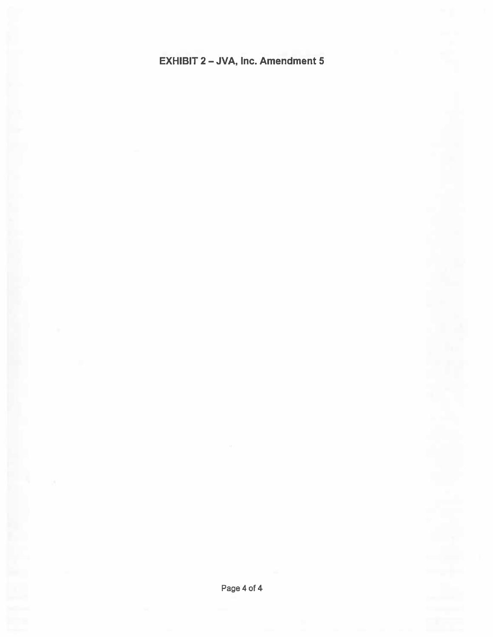# **EXHIBIT 2-JVA, Inc. Amendment 5**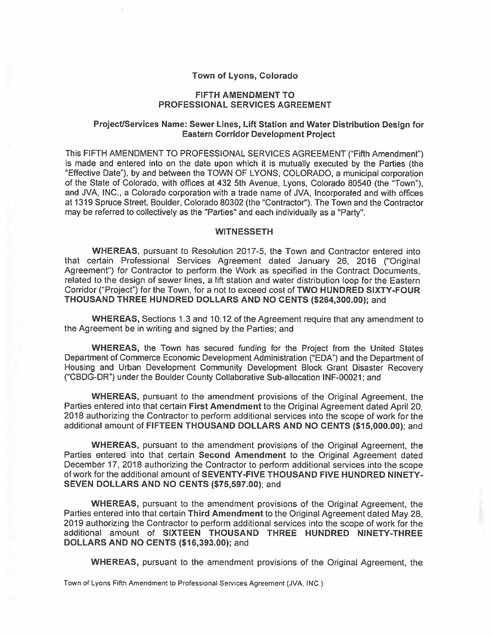#### Town of Lyons, Colorado

#### **FIFTH AMENDMENT TO PROFESSIONAL SERVICES AGREEMENT**

#### Project/Services Name: Sewer Lines, Lift Station and Water Distribution Design for **Eastern Corridor Development Project**

This FIFTH AMENDMENT TO PROFESSIONAL SERVICES AGREEMENT ("Fifth Amendment") is made and entered into on the date upon which it is mutually executed by the Parties (the "Effective Date"), by and between the TOWN OF LYONS, COLORADO, a municipal corporation of the State of Colorado, with offices at 432 5th Avenue, Lyons, Colorado 80540 (the "Town"), and JVA, INC., a Colorado corporation with a trade name of JVA. Incorporated and with offices at 1319 Spruce Street, Boulder, Colorado 80302 (the "Contractor"). The Town and the Contractor may be referred to collectively as the "Parties" and each individually as a "Party".

#### **WITNESSETH**

WHEREAS, pursuant to Resolution 2017-5, the Town and Contractor entered into that certain Professional Services Agreement dated January 26, 2016 ("Original Agreement") for Contractor to perform the Work as specified in the Contract Documents. related to the design of sewer lines, a lift station and water distribution loop for the Eastern Corridor ("Project") for the Town, for a not to exceed cost of TWO HUNDRED SIXTY-FOUR THOUSAND THREE HUNDRED DOLLARS AND NO CENTS (\$264,300.00); and

WHEREAS, Sections 1.3 and 10.12 of the Agreement require that any amendment to the Agreement be in writing and signed by the Parties: and

**WHEREAS, the Town has secured funding for the Project from the United States** Department of Commerce Economic Development Administration ("EDA") and the Department of Housing and Urban Development Community Development Block Grant Disaster Recovery ("CBDG-DR") under the Boulder County Collaborative Sub-allocation INF-00021; and

**WHEREAS, pursuant to the amendment provisions of the Original Agreement, the** Parties entered into that certain First Amendment to the Original Agreement dated April 20. 2018 authorizing the Contractor to perform additional services into the scope of work for the additional amount of FIFTEEN THOUSAND DOLLARS AND NO CENTS (\$15,000.00); and

**WHEREAS, pursuant to the amendment provisions of the Original Agreement, the** Parties entered into that certain Second Amendment to the Original Agreement dated December 17, 2018 authorizing the Contractor to perform additional services into the scope of work for the additional amount of SEVENTY-FIVE THOUSAND FIVE HUNDRED NINETY-SEVEN DOLLARS AND NO CENTS (\$75,597.00); and

**WHEREAS**, pursuant to the amendment provisions of the Original Agreement, the Parties entered into that certain Third Amendment to the Original Agreement dated May 28. 2019 authorizing the Contractor to perform additional services into the scope of work for the additional amount of SIXTEEN THOUSAND THREE HUNDRED NINETY-THREE **DOLLARS AND NO CENTS (\$16,393.00); and** 

**WHEREAS**, pursuant to the amendment provisions of the Original Agreement, the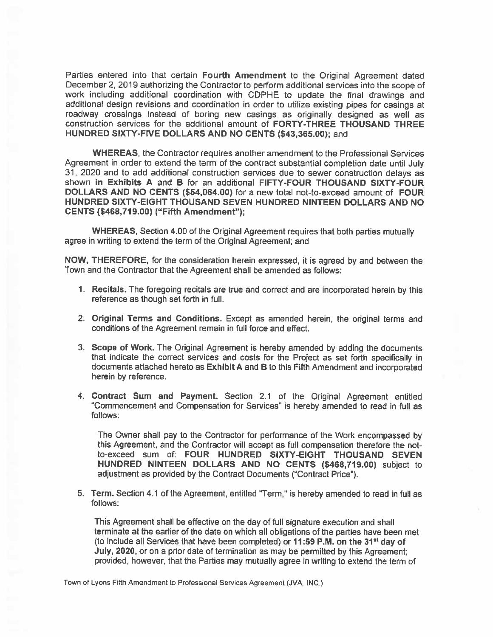Parties entered into that certain Fourth Amendment to the Original Agreement dated December 2, 2019 authorizing the Contractor to perform additional services into the scope of work including additional coordination with CDPHE to update the final drawings and additional design revisions and coordination in order to utilize existing pipes for casings at roadway crossings instead of boring new casings as originally designed as well as construction services for the additional amount of FORTY-THREE THOUSAND THREE HUNDRED SIXTY-FIVE DOLLARS AND NO CENTS (\$43,365.00); and

WHEREAS, the Contractor requires another amendment to the Professional Services Agreement in order to extend the term of the contract substantial completion date until July 31, 2020 and to add additional construction services due to sewer construction delays as shown in Exhibits A and B for an additional FIFTY-FOUR THOUSAND SIXTY-FOUR DOLLARS AND NO CENTS (\$54,064.00) for a new total not-to-exceed amount of FOUR HUNDRED SIXTY-EIGHT THOUSAND SEVEN HUNDRED NINTEEN DOLLARS AND NO CENTS (\$468,719.00) ("Fifth Amendment");

**WHEREAS, Section 4.00 of the Original Agreement requires that both parties mutually** agree in writing to extend the term of the Original Agreement; and

NOW, THEREFORE, for the consideration herein expressed, it is agreed by and between the Town and the Contractor that the Agreement shall be amended as follows:

- 1. Recitals. The foregoing recitals are true and correct and are incorporated herein by this reference as though set forth in full.
- 2. Original Terms and Conditions. Except as amended herein, the original terms and conditions of the Agreement remain in full force and effect.
- 3. Scope of Work. The Original Agreement is hereby amended by adding the documents that indicate the correct services and costs for the Project as set forth specifically in documents attached hereto as Exhibit A and B to this Fifth Amendment and incorporated herein by reference.
- 4. Contract Sum and Payment. Section 2.1 of the Original Agreement entitled "Commencement and Compensation for Services" is hereby amended to read in full as follows:

The Owner shall pay to the Contractor for performance of the Work encompassed by this Agreement, and the Contractor will accept as full compensation therefore the notto-exceed sum of: FOUR HUNDRED SIXTY-EIGHT THOUSAND SEVEN HUNDRED NINTEEN DOLLARS AND NO CENTS (\$468,719.00) subject to adjustment as provided by the Contract Documents ("Contract Price").

5. Term. Section 4.1 of the Agreement, entitled "Term," is hereby amended to read in full as follows:

This Agreement shall be effective on the day of full signature execution and shall terminate at the earlier of the date on which all obligations of the parties have been met (to include all Services that have been completed) or 11:59 P.M. on the 31<sup>st</sup> day of July, 2020, or on a prior date of termination as may be permitted by this Agreement; provided, however, that the Parties may mutually agree in writing to extend the term of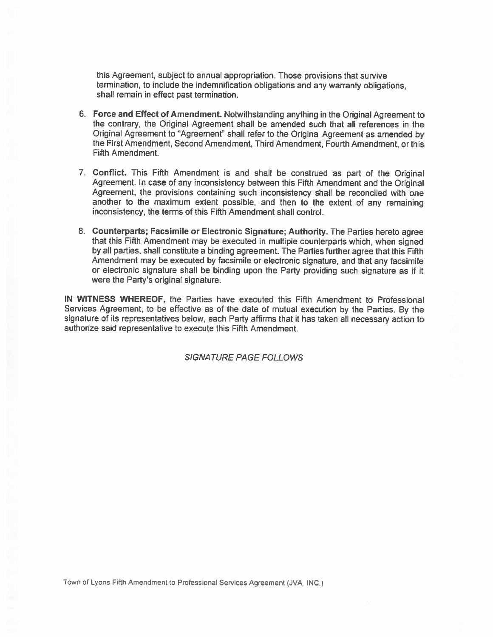this Agreement, subject to annual appropriation. Those provisions that survive termination, to include the indemnification obligations and any warranty obligations. shall remain in effect past termination.

- 6. Force and Effect of Amendment. Notwithstanding anything in the Original Agreement to the contrary, the Original Agreement shall be amended such that all references in the Original Agreement to "Agreement" shall refer to the Original Agreement as amended by the First Amendment, Second Amendment, Third Amendment, Fourth Amendment, or this Fifth Amendment.
- 7. Conflict. This Fifth Amendment is and shall be construed as part of the Original Agreement. In case of any inconsistency between this Fifth Amendment and the Original Agreement, the provisions containing such inconsistency shall be reconciled with one another to the maximum extent possible, and then to the extent of any remaining inconsistency, the terms of this Fifth Amendment shall control.
- 8. Counterparts; Facsimile or Electronic Signature; Authority. The Parties hereto agree that this Fifth Amendment may be executed in multiple counterparts which, when signed by all parties, shall constitute a binding agreement. The Parties further agree that this Fifth Amendment may be executed by facsimile or electronic signature, and that any facsimile or electronic signature shall be binding upon the Party providing such signature as if it were the Party's original signature.

IN WITNESS WHEREOF, the Parties have executed this Fifth Amendment to Professional Services Agreement, to be effective as of the date of mutual execution by the Parties. By the signature of its representatives below, each Party affirms that it has taken all necessary action to authorize said representative to execute this Fifth Amendment.

**SIGNATURE PAGE FOLLOWS**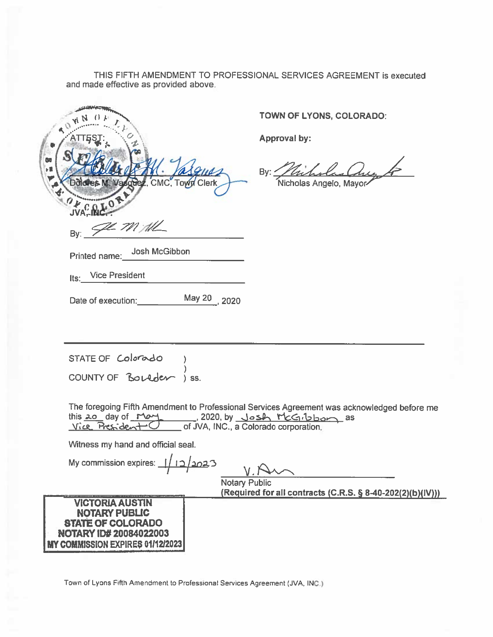THIS FIFTH AMENDMENT TO PROFESSIONAL SERVICES AGREEMENT is executed and made effective as provided above.

| G.         |                       |
|------------|-----------------------|
|            | <b>CASTIC Vasques</b> |
|            | ი                     |
| <b>JVA</b> | Ze m All              |
| By:        |                       |

TOWN OF LYONS, COLORADO:

Approval by:

olas Que A  $Bv:$ Nicholas Angelo, Mayor

Printed name: Josh McGibbon

**Vice President** Its:

Date of execution: May 20 2020

STATE OF Colorado COUNTY OF BOLLACK ISS.

The foregoing Fifth Amendment to Professional Services Agreement was acknowledged before me this 20 day of May 1020, by Josh McGibbon as<br>Vice President C of JVA, INC., a Colorado corporation.

Witness my hand and official seal.

My commission expires:  $\frac{1}{12}$   $\frac{2023}{12}$ **Notary Public** (Required for all contracts (C.R.S. § 8-40-202(2)(b)(IV))) **VICTORIA AUSTIN NOTARY PUBLIC STATE OF COLORADO NOTARY ID# 20084022003 MY COMMISSION EXPIRES 01/12/2023**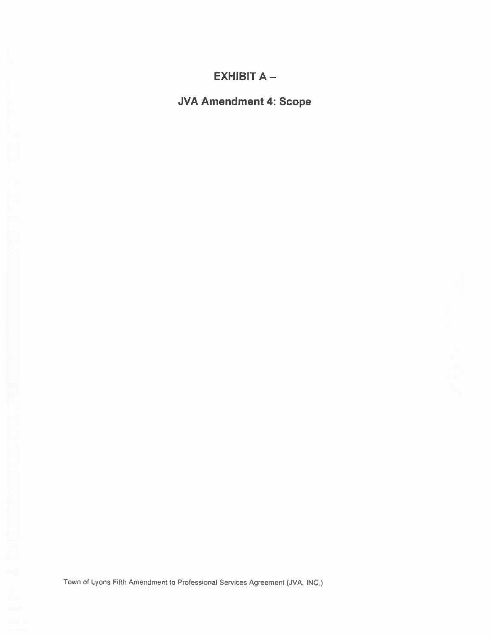# **EXHIBIT A -**

**JVA Amendment 4: Scope**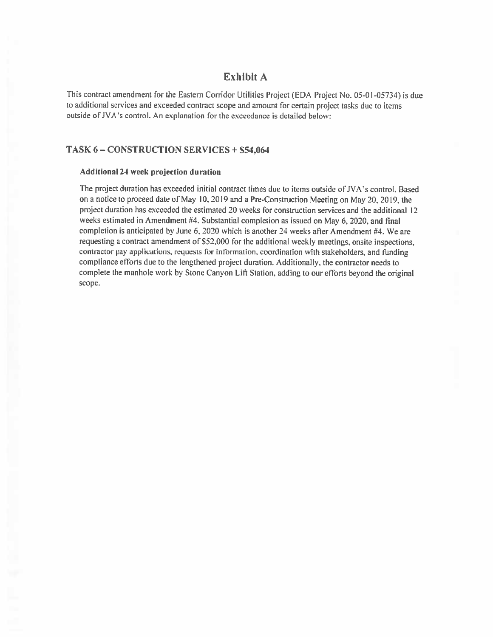#### Exhibit A

This contract amendment for the Eastern Corridor Utilities Project (EDA Project No. 05-01-05734) is due to additional services and exceeded contract scope and amount for certain project tasks due to items outside of JVA's control. An explanation for the exceedance is detailed below:

#### TASK 6-CONSTRUCTION SERVICES + \$54,064

#### Additional 24 week projection duration

The project duration has exceeded initial contract times due to items outside of JVA's control. Based on a notice to proceed date of May 10, 2019 and a Pre-Construction Meeting on May 20, 2019, the project duration has exceeded the estimated 20 weeks for construction services and the additional 12 weeks estimated in Amendment #4. Substantial completion as issued on May 6, 2020, and final completion is anticipated by June 6, 2020 which is another 24 weeks after Amendment #4. We are requesting a contract amendment of \$52,000 for the additional weekly meetings, onsite inspections, contractor pay applications, requests for information, coordination with stakeholders, and funding compliance efforts due to the lengthened project duration. Additionally, the contractor needs to complete the manhole work by Stone Canyon Lift Station, adding to our efforts beyond the original scope.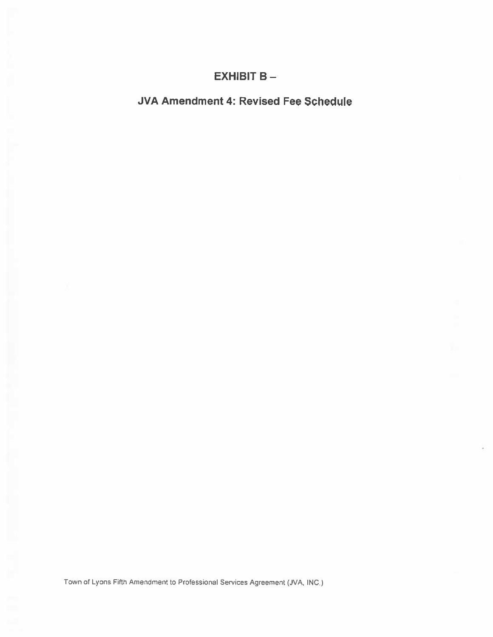# **EXHIBIT B-**

# JVA Amendment 4: Revised Fee Schedule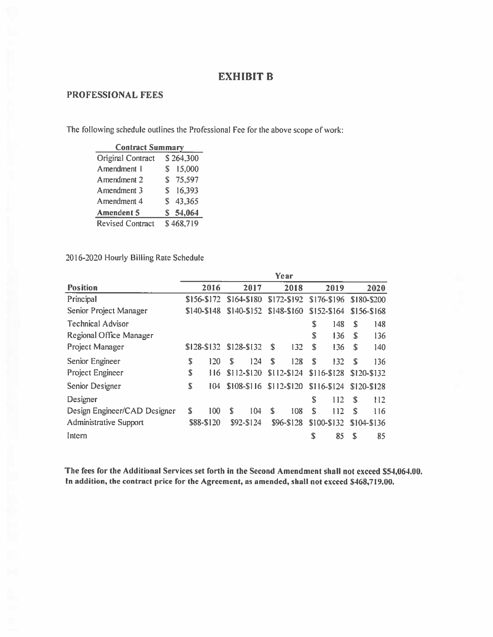### **EXHIBIT B**

## PROFESSIONAL FEES

The following schedule outlines the Professional Fee for the above scope of work:

| <b>Contract Summary</b>  |    |              |
|--------------------------|----|--------------|
| <b>Original Contract</b> |    | \$264,300    |
| Amendment 1              |    | \$15,000     |
| Amendment 2              |    | \$75,597     |
| Amendment 3              | S. | 16,393       |
| Amendment 4              |    | \$43,365     |
| <b>Amendent 5</b>        |    | \$5, 54, 064 |
| <b>Revised Contract</b>  |    | \$468,719    |

#### 2016-2020 Hourly Billing Rate Schedule

|                               |             |            |   |                         |    | Year        |    |             |             |               |
|-------------------------------|-------------|------------|---|-------------------------|----|-------------|----|-------------|-------------|---------------|
| <b>Position</b>               |             | 2016       |   | 2017                    |    | 2018        |    | 2019        |             | 2020          |
| Principal                     | \$156-\$172 |            |   | \$164-\$180             |    | \$172-\$192 |    | \$176-\$196 |             | \$180-\$200   |
| Senior Project Manager        | \$140-\$148 |            |   | \$140-\$152             |    | \$148-\$160 |    | \$152-\$164 |             | $$156 - $168$ |
| <b>Technical Advisor</b>      |             |            |   |                         |    |             | S  | 148         | S           | 148           |
| Regional Office Manager       |             |            |   |                         |    |             | S  | 136         | S           | 136           |
| Project Manager               | \$128-\$132 |            |   | \$128-\$132             | S  | 132         | S  | 136         | S           | 140           |
| Senior Engineer               | S           | 120        | S | 124                     | \$ | 128         | S  | 132         | S           | 136           |
| Project Engineer              | \$          | 116        |   | \$112-\$120             |    | $$112-S124$ |    | \$116-\$128 |             | \$120-\$132   |
| <b>Senior Designer</b>        | S           | 104        |   | \$108-\$116 \$112-\$120 |    |             |    | \$116-\$124 |             | \$120-\$128   |
| Designer                      |             |            |   |                         |    |             | \$ | 112         | S           | 112           |
| Design Engineer/CAD Designer  | S           | 100        | S | 104                     | \$ | 108         | S  | 112         | $\mathbf S$ | 116           |
| <b>Administrative Support</b> |             | \$88-\$120 |   | \$92-\$124              |    | \$96-\$128  |    | \$100-\$132 |             | \$104-\$136   |
| Intern                        |             |            |   |                         |    |             | \$ | 85          | S           | 85            |

The fees for the Additional Services set forth in the Second Amendment shall not exceed \$54,064.00. In addition, the contract price for the Agreement, as amended, shall not exceed \$468,719.00.